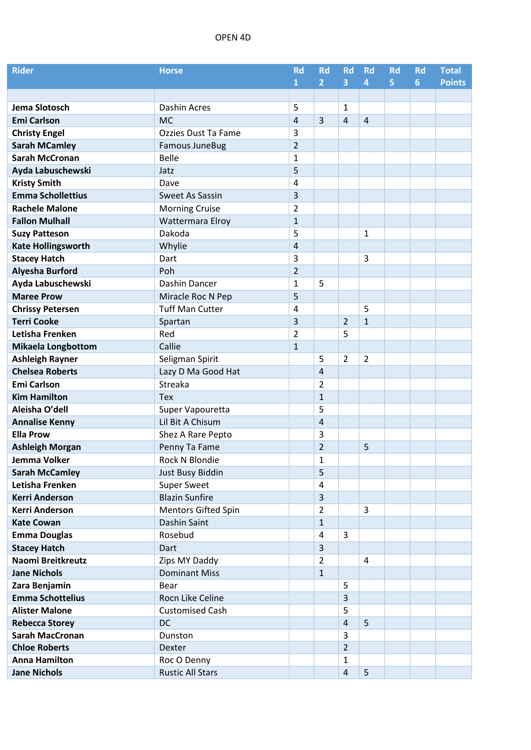## OPEN 4D

| <b>Rider</b>              | <b>Horse</b>               | <b>Rd</b>      | <b>Rd</b>               | <b>Rd</b>      | <b>Rd</b>      | <b>Rd</b> | <b>Rd</b> | <b>Total</b>  |
|---------------------------|----------------------------|----------------|-------------------------|----------------|----------------|-----------|-----------|---------------|
|                           |                            | $\mathbf{1}$   | 2 <sup>1</sup>          | 3              | $\overline{4}$ | 5.        | 6         | <b>Points</b> |
|                           |                            |                |                         |                |                |           |           |               |
| Jema Slotosch             | Dashin Acres               | 5              |                         | 1              |                |           |           |               |
| <b>Emi Carlson</b>        | <b>MC</b>                  | 4              | $\overline{3}$          | 4              | $\overline{4}$ |           |           |               |
| <b>Christy Engel</b>      | Ozzies Dust Ta Fame        | 3              |                         |                |                |           |           |               |
| <b>Sarah MCamley</b>      | <b>Famous JuneBug</b>      | $\overline{2}$ |                         |                |                |           |           |               |
| <b>Sarah McCronan</b>     | <b>Belle</b>               | 1              |                         |                |                |           |           |               |
| Ayda Labuschewski         | Jatz                       | 5              |                         |                |                |           |           |               |
| <b>Kristy Smith</b>       | Dave                       | 4              |                         |                |                |           |           |               |
| <b>Emma Schollettius</b>  | <b>Sweet As Sassin</b>     | 3              |                         |                |                |           |           |               |
| <b>Rachele Malone</b>     | <b>Morning Cruise</b>      | $\overline{2}$ |                         |                |                |           |           |               |
| <b>Fallon Mulhall</b>     | Wattermara Elroy           | $\mathbf{1}$   |                         |                |                |           |           |               |
| <b>Suzy Patteson</b>      | Dakoda                     | 5              |                         |                | 1              |           |           |               |
| <b>Kate Hollingsworth</b> | Whylie                     | 4              |                         |                |                |           |           |               |
| <b>Stacey Hatch</b>       | Dart                       | 3              |                         |                | 3              |           |           |               |
| <b>Alyesha Burford</b>    | Poh                        | $\overline{2}$ |                         |                |                |           |           |               |
| Ayda Labuschewski         | Dashin Dancer              | $\mathbf{1}$   | 5                       |                |                |           |           |               |
| <b>Maree Prow</b>         | Miracle Roc N Pep          | 5              |                         |                |                |           |           |               |
| <b>Chrissy Petersen</b>   | <b>Tuff Man Cutter</b>     | 4              |                         |                | 5              |           |           |               |
| <b>Terri Cooke</b>        | Spartan                    | 3              |                         | $\overline{2}$ | $\mathbf{1}$   |           |           |               |
| Letisha Frenken           | Red                        | $\overline{2}$ |                         | 5              |                |           |           |               |
| <b>Mikaela Longbottom</b> | Callie                     | $\mathbf{1}$   |                         |                |                |           |           |               |
| <b>Ashleigh Rayner</b>    | Seligman Spirit            |                | 5                       | $\overline{2}$ | $\overline{2}$ |           |           |               |
| <b>Chelsea Roberts</b>    | Lazy D Ma Good Hat         |                | 4                       |                |                |           |           |               |
| <b>Emi Carlson</b>        | Streaka                    |                | $\overline{2}$          |                |                |           |           |               |
| <b>Kim Hamilton</b>       | <b>Tex</b>                 |                | $\mathbf{1}$            |                |                |           |           |               |
| Aleisha O'dell            | Super Vapouretta           |                | 5                       |                |                |           |           |               |
| <b>Annalise Kenny</b>     | Lil Bit A Chisum           |                | 4                       |                |                |           |           |               |
| <b>Ella Prow</b>          | Shez A Rare Pepto          |                | 3                       |                |                |           |           |               |
| <b>Ashleigh Morgan</b>    | Penny Ta Fame              |                | $\overline{2}$          |                | 5              |           |           |               |
| Jemma Volker              | Rock N Blondie             |                | $\mathbf{1}$            |                |                |           |           |               |
| <b>Sarah McCamley</b>     | Just Busy Biddin           |                | 5                       |                |                |           |           |               |
| Letisha Frenken           | Super Sweet                |                | 4                       |                |                |           |           |               |
| <b>Kerri Anderson</b>     | <b>Blazin Sunfire</b>      |                | $\overline{\mathbf{3}}$ |                |                |           |           |               |
| <b>Kerri Anderson</b>     | <b>Mentors Gifted Spin</b> |                | $\overline{2}$          |                | 3              |           |           |               |
| <b>Kate Cowan</b>         | Dashin Saint               |                | $\mathbf{1}$            |                |                |           |           |               |
| <b>Emma Douglas</b>       | Rosebud                    |                | 4                       | 3              |                |           |           |               |
| <b>Stacey Hatch</b>       | Dart                       |                | 3                       |                |                |           |           |               |
| Naomi Breitkreutz         | Zips MY Daddy              |                | $\overline{2}$          |                | 4              |           |           |               |
| <b>Jane Nichols</b>       | <b>Dominant Miss</b>       |                | $\mathbf{1}$            |                |                |           |           |               |
| Zara Benjamin             | Bear                       |                |                         | 5              |                |           |           |               |
| <b>Emma Schottelius</b>   | Rocn Like Celine           |                |                         | 3              |                |           |           |               |
| <b>Alister Malone</b>     | <b>Customised Cash</b>     |                |                         | 5              |                |           |           |               |
| <b>Rebecca Storey</b>     | <b>DC</b>                  |                |                         | 4              | 5              |           |           |               |
| <b>Sarah MacCronan</b>    | Dunston                    |                |                         | 3              |                |           |           |               |
| <b>Chloe Roberts</b>      | Dexter                     |                |                         | $\overline{2}$ |                |           |           |               |
| <b>Anna Hamilton</b>      | Roc O Denny                |                |                         | $\mathbf{1}$   |                |           |           |               |
| <b>Jane Nichols</b>       | <b>Rustic All Stars</b>    |                |                         | 4              | 5              |           |           |               |